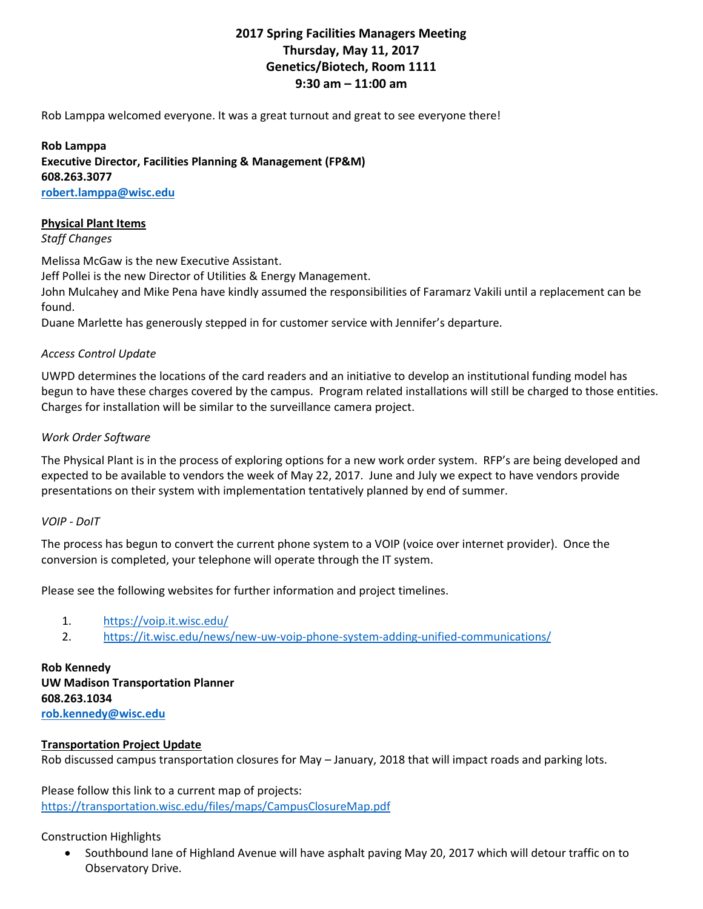# **2017 Spring Facilities Managers Meeting Thursday, May 11, 2017 Genetics/Biotech, Room 1111 9:30 am – 11:00 am**

Rob Lamppa welcomed everyone. It was a great turnout and great to see everyone there!

**Rob Lamppa Executive Director, Facilities Planning & Management (FP&M) 608.263.3077 [robert.lamppa@wisc.edu](mailto:robert.lamppa@wisc.edu)**

#### **Physical Plant Items**

*Staff Changes*

Melissa McGaw is the new Executive Assistant.

Jeff Pollei is the new Director of Utilities & Energy Management.

John Mulcahey and Mike Pena have kindly assumed the responsibilities of Faramarz Vakili until a replacement can be found.

Duane Marlette has generously stepped in for customer service with Jennifer's departure.

# *Access Control Update*

UWPD determines the locations of the card readers and an initiative to develop an institutional funding model has begun to have these charges covered by the campus. Program related installations will still be charged to those entities. Charges for installation will be similar to the surveillance camera project.

# *Work Order Software*

The Physical Plant is in the process of exploring options for a new work order system. RFP's are being developed and expected to be available to vendors the week of May 22, 2017. June and July we expect to have vendors provide presentations on their system with implementation tentatively planned by end of summer.

# *VOIP - DoIT*

The process has begun to convert the current phone system to a VOIP (voice over internet provider). Once the conversion is completed, your telephone will operate through the IT system.

Please see the following websites for further information and project timelines.

- 1. <https://voip.it.wisc.edu/>
- 2. <https://it.wisc.edu/news/new-uw-voip-phone-system-adding-unified-communications/>

**Rob Kennedy UW Madison Transportation Planner 608.263.1034 [rob.kennedy@wisc.edu](mailto:rob.kennedy@wisc.edu)**

# **Transportation Project Update**

Rob discussed campus transportation closures for May – January, 2018 that will impact roads and parking lots.

Please follow this link to a current map of projects: <https://transportation.wisc.edu/files/maps/CampusClosureMap.pdf>

Construction Highlights

• Southbound lane of Highland Avenue will have asphalt paving May 20, 2017 which will detour traffic on to Observatory Drive.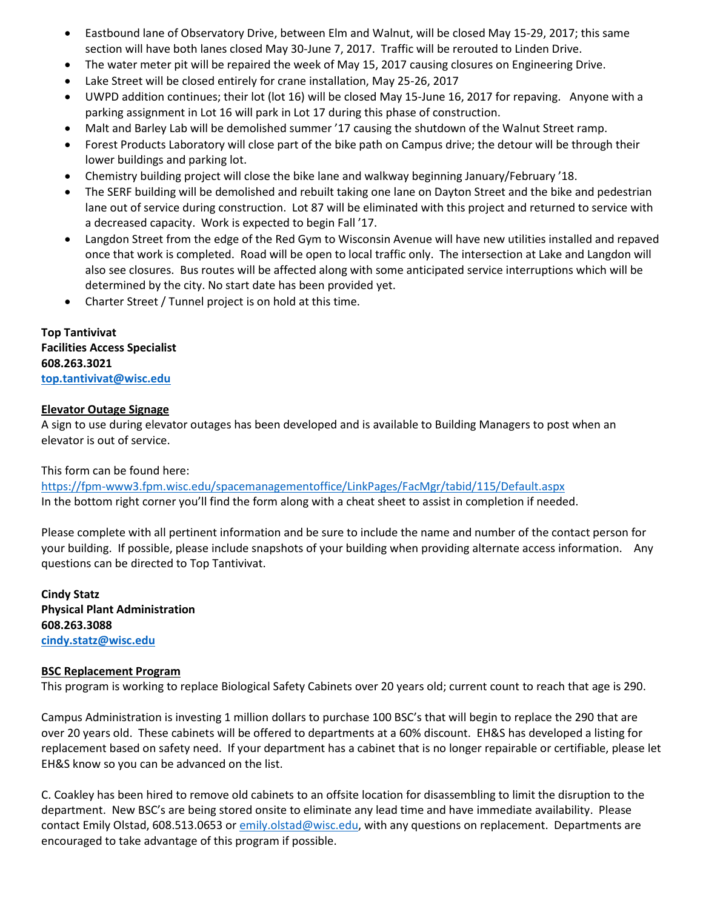- Eastbound lane of Observatory Drive, between Elm and Walnut, will be closed May 15-29, 2017; this same section will have both lanes closed May 30-June 7, 2017. Traffic will be rerouted to Linden Drive.
- The water meter pit will be repaired the week of May 15, 2017 causing closures on Engineering Drive.
- Lake Street will be closed entirely for crane installation, May 25-26, 2017
- UWPD addition continues; their lot (lot 16) will be closed May 15-June 16, 2017 for repaving. Anyone with a parking assignment in Lot 16 will park in Lot 17 during this phase of construction.
- Malt and Barley Lab will be demolished summer '17 causing the shutdown of the Walnut Street ramp.
- Forest Products Laboratory will close part of the bike path on Campus drive; the detour will be through their lower buildings and parking lot.
- Chemistry building project will close the bike lane and walkway beginning January/February '18.
- The SERF building will be demolished and rebuilt taking one lane on Dayton Street and the bike and pedestrian lane out of service during construction. Lot 87 will be eliminated with this project and returned to service with a decreased capacity. Work is expected to begin Fall '17.
- Langdon Street from the edge of the Red Gym to Wisconsin Avenue will have new utilities installed and repaved once that work is completed. Road will be open to local traffic only. The intersection at Lake and Langdon will also see closures. Bus routes will be affected along with some anticipated service interruptions which will be determined by the city. No start date has been provided yet.
- Charter Street / Tunnel project is on hold at this time.

**Top Tantivivat Facilities Access Specialist 608.263.3021 [top.tantivivat@wisc.edu](mailto:top.tantivivat@wisc.edu)**

#### **Elevator Outage Signage**

A sign to use during elevator outages has been developed and is available to Building Managers to post when an elevator is out of service.

# This form can be found here:

<https://fpm-www3.fpm.wisc.edu/spacemanagementoffice/LinkPages/FacMgr/tabid/115/Default.aspx> In the bottom right corner you'll find the form along with a cheat sheet to assist in completion if needed.

Please complete with all pertinent information and be sure to include the name and number of the contact person for your building. If possible, please include snapshots of your building when providing alternate access information. Any questions can be directed to Top Tantivivat.

**Cindy Statz Physical Plant Administration 608.263.3088 [cindy.statz@wisc.edu](mailto:cindy.statz@wisc.edu)**

#### **BSC Replacement Program**

This program is working to replace Biological Safety Cabinets over 20 years old; current count to reach that age is 290.

Campus Administration is investing 1 million dollars to purchase 100 BSC's that will begin to replace the 290 that are over 20 years old. These cabinets will be offered to departments at a 60% discount. EH&S has developed a listing for replacement based on safety need. If your department has a cabinet that is no longer repairable or certifiable, please let EH&S know so you can be advanced on the list.

C. Coakley has been hired to remove old cabinets to an offsite location for disassembling to limit the disruption to the department. New BSC's are being stored onsite to eliminate any lead time and have immediate availability. Please contact Emily Olstad, 608.513.0653 o[r emily.olstad@wisc.edu,](mailto:emily.olstad@wisc.edu) with any questions on replacement. Departments are encouraged to take advantage of this program if possible.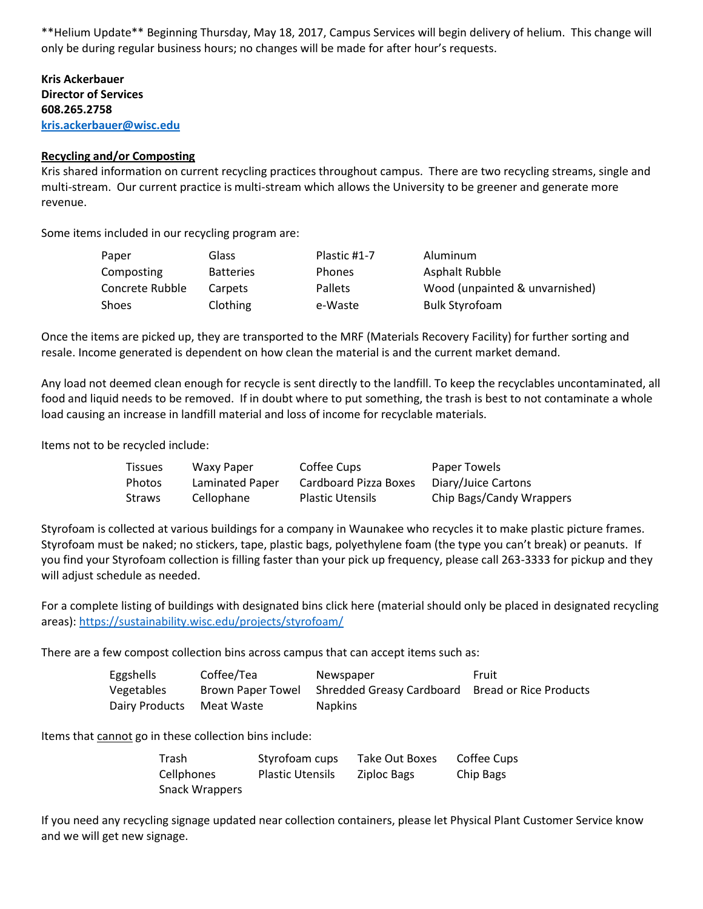\*\*Helium Update\*\* Beginning Thursday, May 18, 2017, Campus Services will begin delivery of helium. This change will only be during regular business hours; no changes will be made for after hour's requests.

**Kris Ackerbauer Director of Services 608.265.2758 [kris.ackerbauer@wisc.edu](mailto:kris.ackerbauer@wisc.edu)**

#### **Recycling and/or Composting**

Kris shared information on current recycling practices throughout campus. There are two recycling streams, single and multi-stream. Our current practice is multi-stream which allows the University to be greener and generate more revenue.

Some items included in our recycling program are:

| Paper           | Glass            | Plastic #1-7   | Aluminum                       |
|-----------------|------------------|----------------|--------------------------------|
| Composting      | <b>Batteries</b> | <b>Phones</b>  | Asphalt Rubble                 |
| Concrete Rubble | Carpets          | <b>Pallets</b> | Wood (unpainted & unvarnished) |
| Shoes           | Clothing         | e-Waste        | <b>Bulk Styrofoam</b>          |

Once the items are picked up, they are transported to the MRF (Materials Recovery Facility) for further sorting and resale. Income generated is dependent on how clean the material is and the current market demand.

Any load not deemed clean enough for recycle is sent directly to the landfill. To keep the recyclables uncontaminated, all food and liquid needs to be removed. If in doubt where to put something, the trash is best to not contaminate a whole load causing an increase in landfill material and loss of income for recyclable materials.

Items not to be recycled include:

| <b>Tissues</b> | Waxy Paper      | Coffee Cups             | Paper Towels             |
|----------------|-----------------|-------------------------|--------------------------|
| Photos         | Laminated Paper | Cardboard Pizza Boxes   | Diary/Juice Cartons      |
| Straws         | Cellophane      | <b>Plastic Utensils</b> | Chip Bags/Candy Wrappers |

Styrofoam is collected at various buildings for a company in Waunakee who recycles it to make plastic picture frames. Styrofoam must be naked; no stickers, tape, plastic bags, polyethylene foam (the type you can't break) or peanuts. If you find your Styrofoam collection is filling faster than your pick up frequency, please call 263-3333 for pickup and they will adjust schedule as needed.

For a complete listing of buildings with designated bins click here (material should only be placed in designated recycling areas): <https://sustainability.wisc.edu/projects/styrofoam/>

There are a few compost collection bins across campus that can accept items such as:

| Eggshells      | Coffee/Tea | Newspaper                                   | Fruit                  |
|----------------|------------|---------------------------------------------|------------------------|
| Vegetables     |            | Brown Paper Towel Shredded Greasy Cardboard | Bread or Rice Products |
| Dairy Products | Meat Waste | <b>Napkins</b>                              |                        |

Items that cannot go in these collection bins include:

| Trash                 | Styrofoam cups          | Take Out Boxes | Coffee Cups |
|-----------------------|-------------------------|----------------|-------------|
| Cellphones            | <b>Plastic Utensils</b> | Ziploc Bags    | Chip Bags   |
| <b>Snack Wrappers</b> |                         |                |             |

If you need any recycling signage updated near collection containers, please let Physical Plant Customer Service know and we will get new signage.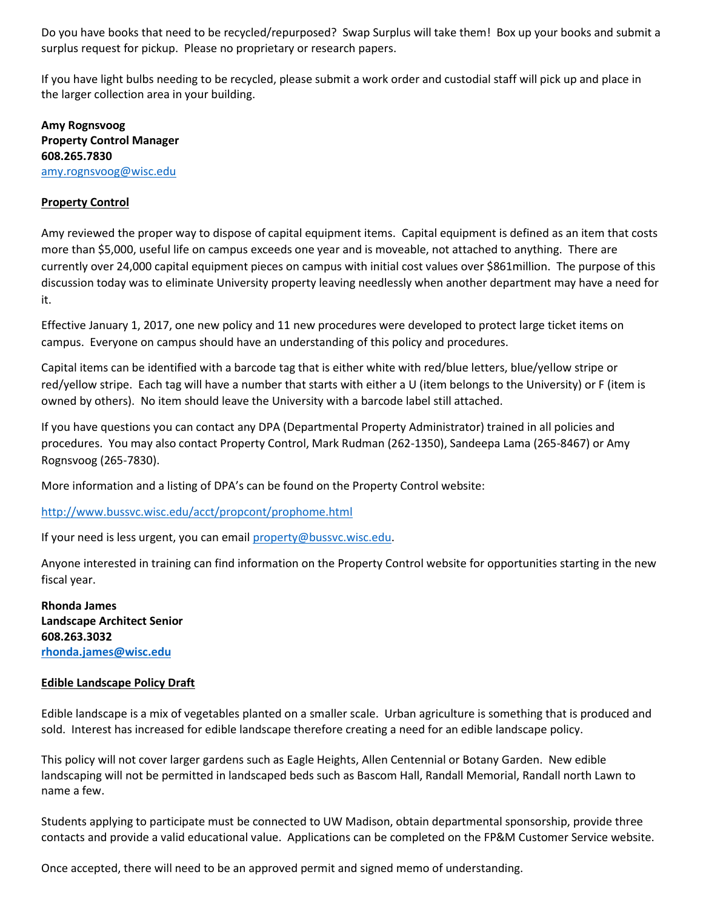Do you have books that need to be recycled/repurposed? Swap Surplus will take them! Box up your books and submit a surplus request for pickup. Please no proprietary or research papers.

If you have light bulbs needing to be recycled, please submit a work order and custodial staff will pick up and place in the larger collection area in your building.

**Amy Rognsvoog Property Control Manager 608.265.7830** [amy.rognsvoog@wisc.edu](mailto:amy.rognsvoog@wisc.edu)

# **Property Control**

Amy reviewed the proper way to dispose of capital equipment items. Capital equipment is defined as an item that costs more than \$5,000, useful life on campus exceeds one year and is moveable, not attached to anything. There are currently over 24,000 capital equipment pieces on campus with initial cost values over \$861million. The purpose of this discussion today was to eliminate University property leaving needlessly when another department may have a need for it.

Effective January 1, 2017, one new policy and 11 new procedures were developed to protect large ticket items on campus. Everyone on campus should have an understanding of this policy and procedures.

Capital items can be identified with a barcode tag that is either white with red/blue letters, blue/yellow stripe or red/yellow stripe. Each tag will have a number that starts with either a U (item belongs to the University) or F (item is owned by others). No item should leave the University with a barcode label still attached.

If you have questions you can contact any DPA (Departmental Property Administrator) trained in all policies and procedures. You may also contact Property Control, Mark Rudman (262-1350), Sandeepa Lama (265-8467) or Amy Rognsvoog (265-7830).

More information and a listing of DPA's can be found on the Property Control website:

<http://www.bussvc.wisc.edu/acct/propcont/prophome.html>

If your need is less urgent, you can email [property@bussvc.wisc.edu.](mailto:property@bussvc.wisc.edu)

Anyone interested in training can find information on the Property Control website for opportunities starting in the new fiscal year.

**Rhonda James Landscape Architect Senior 608.263.3032 [rhonda.james@wisc.edu](mailto:rhonda.james@wisc.edu)**

# **Edible Landscape Policy Draft**

Edible landscape is a mix of vegetables planted on a smaller scale. Urban agriculture is something that is produced and sold. Interest has increased for edible landscape therefore creating a need for an edible landscape policy.

This policy will not cover larger gardens such as Eagle Heights, Allen Centennial or Botany Garden. New edible landscaping will not be permitted in landscaped beds such as Bascom Hall, Randall Memorial, Randall north Lawn to name a few.

Students applying to participate must be connected to UW Madison, obtain departmental sponsorship, provide three contacts and provide a valid educational value. Applications can be completed on the FP&M Customer Service website.

Once accepted, there will need to be an approved permit and signed memo of understanding.